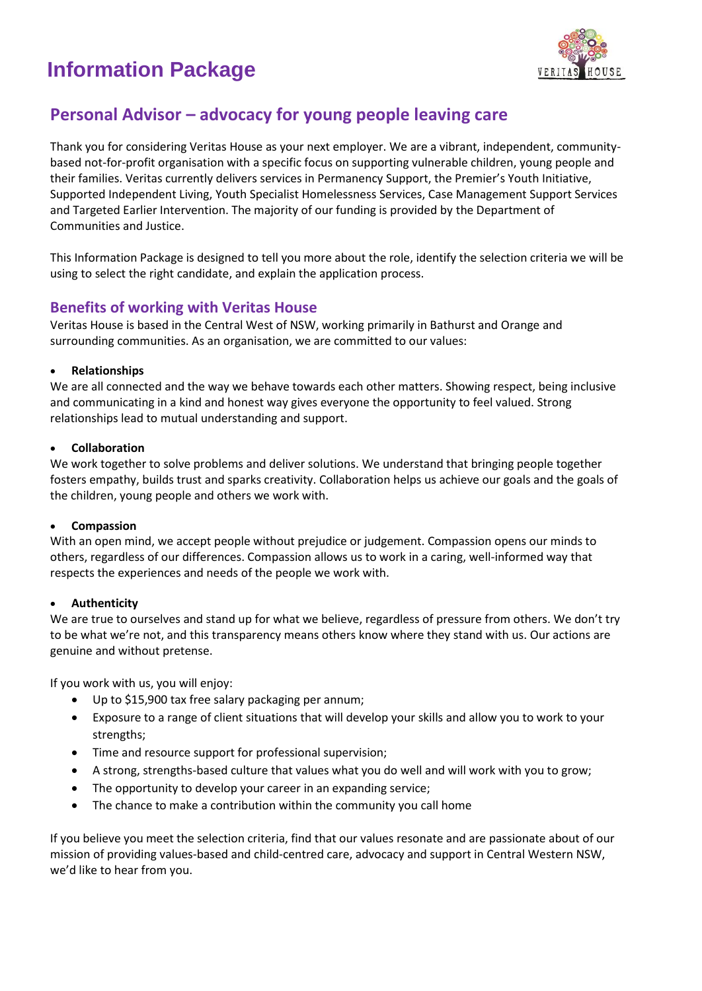## **Information Package**



## **Personal Advisor – advocacy for young people leaving care**

Thank you for considering Veritas House as your next employer. We are a vibrant, independent, communitybased not-for-profit organisation with a specific focus on supporting vulnerable children, young people and their families. Veritas currently delivers services in Permanency Support, the Premier's Youth Initiative, Supported Independent Living, Youth Specialist Homelessness Services, Case Management Support Services and Targeted Earlier Intervention. The majority of our funding is provided by the Department of Communities and Justice.

This Information Package is designed to tell you more about the role, identify the selection criteria we will be using to select the right candidate, and explain the application process.

## **Benefits of working with Veritas House**

Veritas House is based in the Central West of NSW, working primarily in Bathurst and Orange and surrounding communities. As an organisation, we are committed to our values:

#### • **Relationships**

We are all connected and the way we behave towards each other matters. Showing respect, being inclusive and communicating in a kind and honest way gives everyone the opportunity to feel valued. Strong relationships lead to mutual understanding and support.

#### • **Collaboration**

We work together to solve problems and deliver solutions. We understand that bringing people together fosters empathy, builds trust and sparks creativity. Collaboration helps us achieve our goals and the goals of the children, young people and others we work with.

#### • **Compassion**

With an open mind, we accept people without prejudice or judgement. Compassion opens our minds to others, regardless of our differences. Compassion allows us to work in a caring, well-informed way that respects the experiences and needs of the people we work with.

## • **Authenticity**

We are true to ourselves and stand up for what we believe, regardless of pressure from others. We don't try to be what we're not, and this transparency means others know where they stand with us. Our actions are genuine and without pretense.

If you work with us, you will enjoy:

- Up to \$15,900 tax free salary packaging per annum;
- Exposure to a range of client situations that will develop your skills and allow you to work to your strengths;
- Time and resource support for professional supervision;
- A strong, strengths-based culture that values what you do well and will work with you to grow;
- The opportunity to develop your career in an expanding service;
- The chance to make a contribution within the community you call home

If you believe you meet the selection criteria, find that our values resonate and are passionate about of our mission of providing values-based and child-centred care, advocacy and support in Central Western NSW, we'd like to hear from you.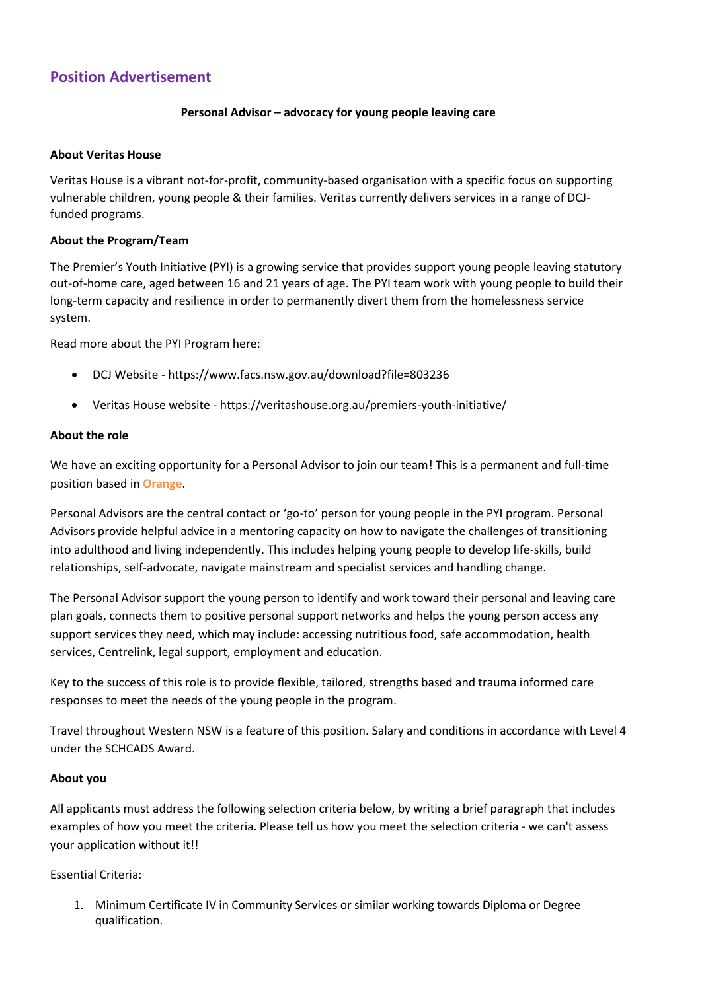## **Position Advertisement**

## **Personal Advisor – advocacy for young people leaving care**

#### **About Veritas House**

Veritas House is a vibrant not-for-profit, community-based organisation with a specific focus on supporting vulnerable children, young people & their families. Veritas currently delivers services in a range of DCJfunded programs.

#### **About the Program/Team**

The Premier's Youth Initiative (PYI) is a growing service that provides support young people leaving statutory out-of-home care, aged between 16 and 21 years of age. The PYI team work with young people to build their long-term capacity and resilience in order to permanently divert them from the homelessness service system.

Read more about the PYI Program here:

- DCJ Website <https://www.facs.nsw.gov.au/download?file=803236>
- Veritas House website <https://veritashouse.org.au/premiers-youth-initiative/>

#### **About the role**

We have an exciting opportunity for a Personal Advisor to join our team! This is a permanent and full-time position based in **Orange**.

Personal Advisors are the central contact or 'go-to' person for young people in the PYI program. Personal Advisors provide helpful advice in a mentoring capacity on how to navigate the challenges of transitioning into adulthood and living independently. This includes helping young people to develop life-skills, build relationships, self-advocate, navigate mainstream and specialist services and handling change.

The Personal Advisor support the young person to identify and work toward their personal and leaving care plan goals, connects them to positive personal support networks and helps the young person access any support services they need, which may include: accessing nutritious food, safe accommodation, health services, Centrelink, legal support, employment and education.

Key to the success of this role is to provide flexible, tailored, strengths based and trauma informed care responses to meet the needs of the young people in the program.

Travel throughout Western NSW is a feature of this position. Salary and conditions in accordance with Level 4 under the SCHCADS Award.

#### **About you**

All applicants must address the following selection criteria below, by writing a brief paragraph that includes examples of how you meet the criteria. Please tell us how you meet the selection criteria - we can't assess your application without it!!

Essential Criteria:

1. Minimum Certificate IV in Community Services or similar working towards Diploma or Degree qualification.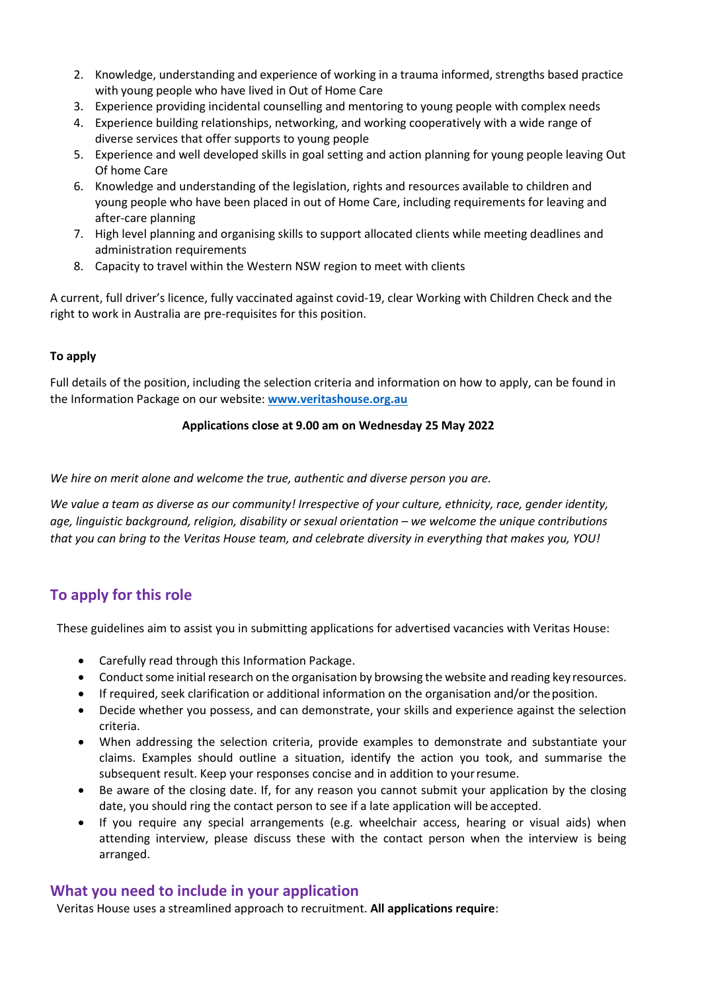- 2. Knowledge, understanding and experience of working in a trauma informed, strengths based practice with young people who have lived in Out of Home Care
- 3. Experience providing incidental counselling and mentoring to young people with complex needs
- 4. Experience building relationships, networking, and working cooperatively with a wide range of diverse services that offer supports to young people
- 5. Experience and well developed skills in goal setting and action planning for young people leaving Out Of home Care
- 6. Knowledge and understanding of the legislation, rights and resources available to children and young people who have been placed in out of Home Care, including requirements for leaving and after-care planning
- 7. High level planning and organising skills to support allocated clients while meeting deadlines and administration requirements
- 8. Capacity to travel within the Western NSW region to meet with clients

A current, full driver's licence, fully vaccinated against covid-19, clear Working with Children Check and the right to work in Australia are pre-requisites for this position.

#### **To apply**

Full details of the position, including the selection criteria and information on how to apply, can be found in the Information Package on our website: **[www.veritashouse.org.au](http://www.veritashouse.org.au/)**

#### **Applications close at 9.00 am on Wednesday 25 May 2022**

*We hire on merit alone and welcome the true, authentic and diverse person you are.*

*We value a team as diverse as our community! Irrespective of your culture, ethnicity, race, gender identity, age, linguistic background, religion, disability or sexual orientation – we welcome the unique contributions that you can bring to the Veritas House team, and celebrate diversity in everything that makes you, YOU!*

## **To apply for this role**

These guidelines aim to assist you in submitting applications for advertised vacancies with Veritas House:

- Carefully read through this Information Package.
- Conduct some initial research on the organisation by browsing the website and reading keyresources.
- If required, seek clarification or additional information on the organisation and/or theposition.
- Decide whether you possess, and can demonstrate, your skills and experience against the selection criteria.
- When addressing the selection criteria, provide examples to demonstrate and substantiate your claims. Examples should outline a situation, identify the action you took, and summarise the subsequent result. Keep your responses concise and in addition to yourresume.
- Be aware of the closing date. If, for any reason you cannot submit your application by the closing date, you should ring the contact person to see if a late application will be accepted.
- If you require any special arrangements (e.g. wheelchair access, hearing or visual aids) when attending interview, please discuss these with the contact person when the interview is being arranged.

## **What you need to include in your application**

Veritas House uses a streamlined approach to recruitment. **All applications require**: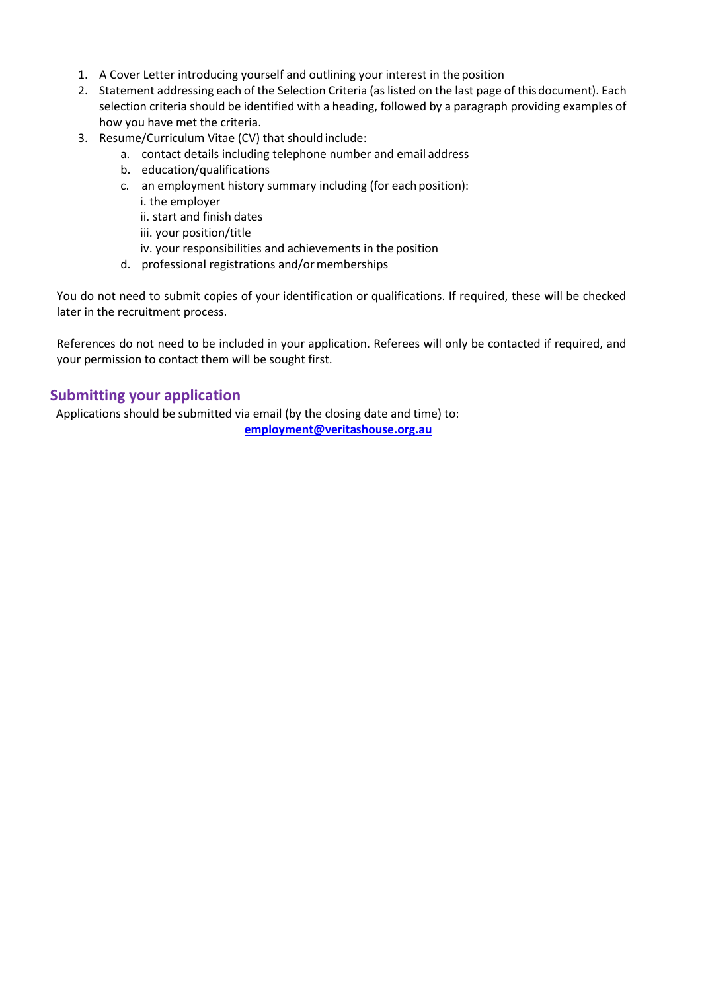- 1. A Cover Letter introducing yourself and outlining your interest in the position
- 2. Statement addressing each of the Selection Criteria (as listed on the last page of thisdocument). Each selection criteria should be identified with a heading, followed by a paragraph providing examples of how you have met the criteria.
- 3. Resume/Curriculum Vitae (CV) that should include:
	- a. contact details including telephone number and email address
	- b. education/qualifications
	- c. an employment history summary including (for each position):
		- i. the employer
		- ii. start and finish dates
		- iii. your position/title
		- iv. your responsibilities and achievements in the position
	- d. professional registrations and/or memberships

You do not need to submit copies of your identification or qualifications. If required, these will be checked later in the recruitment process.

References do not need to be included in your application. Referees will only be contacted if required, and your permission to contact them will be sought first.

## **Submitting your application**

 Applications should be submitted via email (by the closing date and time) to: **[employment@veritashouse.org.au](mailto:employment@veritashouse.org.au)**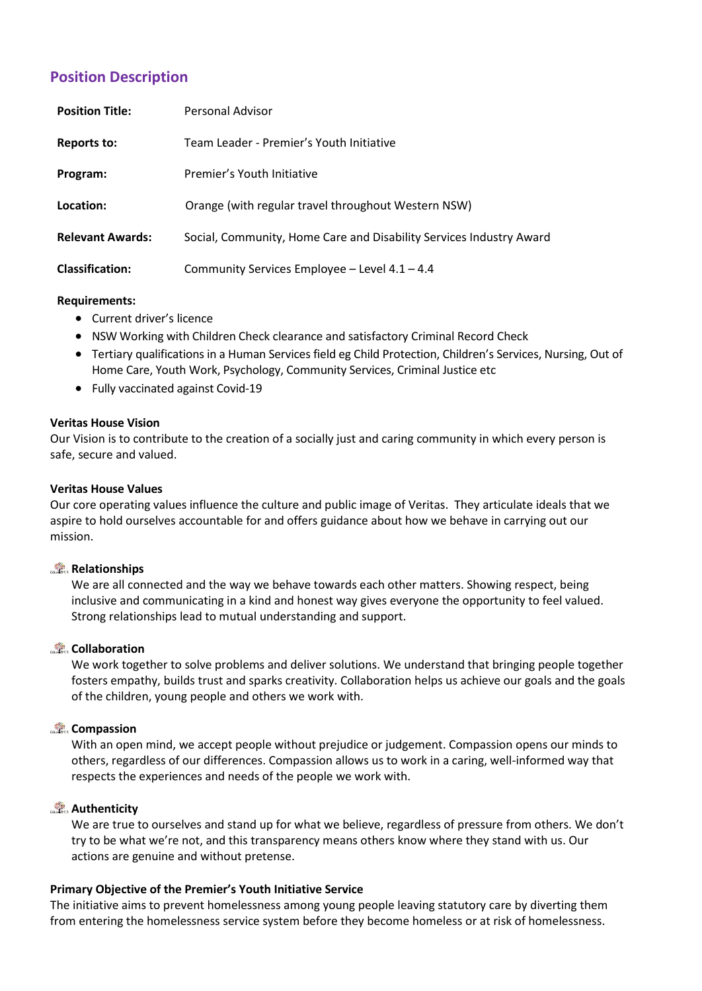## **Position Description**

| <b>Position Title:</b>  | Personal Advisor                                                    |
|-------------------------|---------------------------------------------------------------------|
| <b>Reports to:</b>      | Team Leader - Premier's Youth Initiative                            |
| Program:                | Premier's Youth Initiative                                          |
| Location:               | Orange (with regular travel throughout Western NSW)                 |
| <b>Relevant Awards:</b> | Social, Community, Home Care and Disability Services Industry Award |
| <b>Classification:</b>  | Community Services Employee - Level 4.1 - 4.4                       |

#### **Requirem[ents:](http://www.docudesk.com/deskpdf/pdf-studio/buy-studio-x-now)**

- [Current](http://www.docudesk.com/deskpdf/pdf-studio/buy-studio-x-now) driver's licence
- [NSW Working](http://www.docudesk.com/deskpdf/pdf-studio/buy-studio-x-now) with Children Check clearance and satisfactory Criminal Record Check
- Tertiary [qualifications in a Human Services field eg Child Protection, Children's Services, Nursing, Out of](http://www.docudesk.com/deskpdf/pdf-studio/buy-studio-x-now)  [Home Care, Youth Work, Psychology, Community Services, Criminal Justice etc](http://www.docudesk.com/deskpdf/pdf-studio/buy-studio-x-now)
- Fully vaccinated against Covid-19

## **Veritas House Vision**

Our Vision is to contribute to the creation of a socially just and caring community in which every person is safe, secure and valued.

#### **Veritas House Values**

Our core operating values influence the culture and public image of Veritas. They articulate ideals that we aspire to hold ourselves accountable for and offers guidance about how we behave in carrying out our mission.

## **Relationships**

We are all connected and the way we behave towards each other matters. Showing respect, being inclusive and communicating in a kind and honest way gives everyone the opportunity to feel valued. Strong relationships lead to mutual understanding and support.

## **Collaboration**

We work together to solve problems and deliver solutions. We understand that bringing people together fosters empathy, builds trust and sparks creativity. Collaboration helps us achieve our goals and the goals of the children, young people and others we work with.

## **Compassion**

With an open mind, we accept people without prejudice or judgement. Compassion opens our minds to others, regardless of our differences. Compassion allows us to work in a caring, well-informed way that respects the experiences and needs of the people we work with.

## **Authenticity**

We are true to ourselves and stand up for what we believe, regardless of pressure from others. We don't try to be what we're not, and this transparency means others know where they stand with us. Our actions are genuine and without pretense.

## **Primary Objective of the Premier's Youth Initiative Service**

The initiative aims to prevent homelessness among young people leaving statutory care by diverting them from entering the homelessness service system before they become homeless or at risk of homelessness.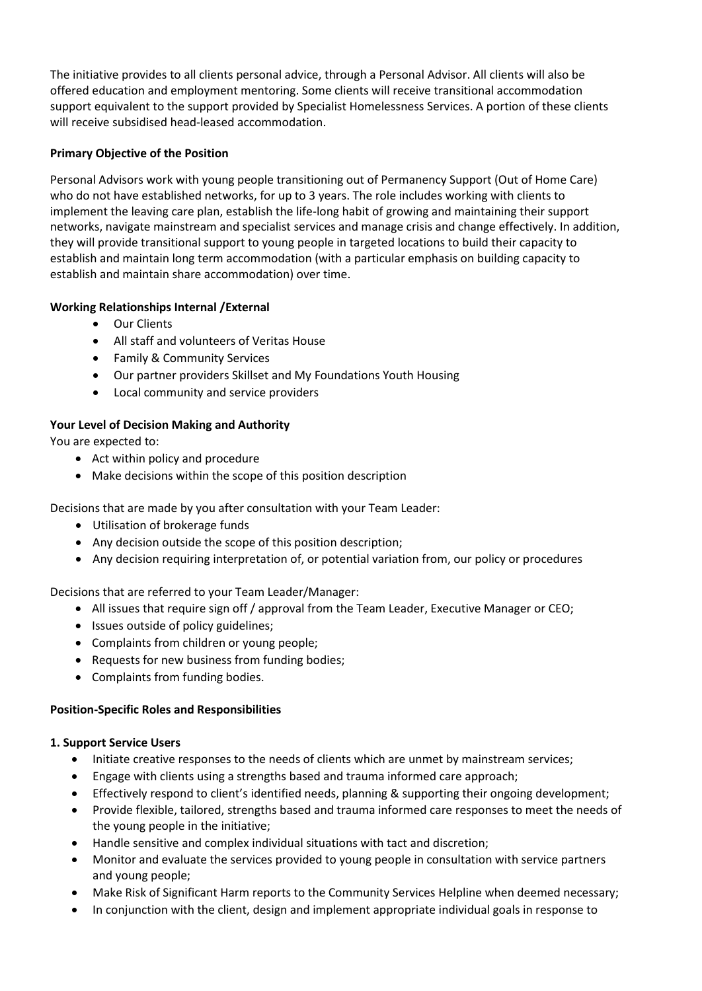The initiative provides to all clients personal advice, through a Personal Advisor. All clients will also be offered education and employment mentoring. Some clients will receive transitional accommodation support equivalent to the support provided by Specialist Homelessness Services. A portion of these clients will receive subsidised head-leased accommodation.

## **Primary Objective of the Position**

Personal Advisors work with young people transitioning out of Permanency Support (Out of Home Care) who do not have established networks, for up to 3 years. The role includes working with clients to implement the leaving care plan, establish the life-long habit of growing and maintaining their support networks, navigate mainstream and specialist services and manage crisis and change effectively. In addition, they will provide transitional support to young people in targeted locations to build their capacity to establish and maintain long term accommodation (with a particular emphasis on building capacity to establish and maintain share accommodation) over time.

## **Working Relationships Internal /External**

- Our Clients
- All staff and volunteers of Veritas House
- Family & Community Services
- Our partner providers Skillset and My Foundations Youth Housing
- Local community and service providers

## **Your Level of Decision Making and Authority**

You are expected to:

- Act within policy and procedure
- Make decisions within the scope of this position description

Decisions that are made by you after consultation with your Team Leader:

- Utilisation of brokerage funds
- Any decision outside the scope of this position description;
- Any decision requiring interpretation of, or potential variation from, our policy or procedures

Decisions that are referred to your Team Leader/Manager:

- All issues that require sign off / approval from the Team Leader, Executive Manager or CEO;
- Issues outside of policy guidelines;
- Complaints from children or young people;
- Requests for new business from funding bodies;
- Complaints from funding bodies.

## **Position-Specific Roles and Responsibilities**

## **1. Support Service Users**

- Initiate creative responses to the needs of clients which are unmet by mainstream services;
- Engage with clients using a strengths based and trauma informed care approach;
- Effectively respond to client's identified needs, planning & supporting their ongoing development;
- Provide flexible, tailored, strengths based and trauma informed care responses to meet the needs of the young people in the initiative;
- Handle sensitive and complex individual situations with tact and discretion;
- Monitor and evaluate the services provided to young people in consultation with service partners and young people;
- Make Risk of Significant Harm reports to the Community Services Helpline when deemed necessary;
- In conjunction with the client, design and implement appropriate individual goals in response to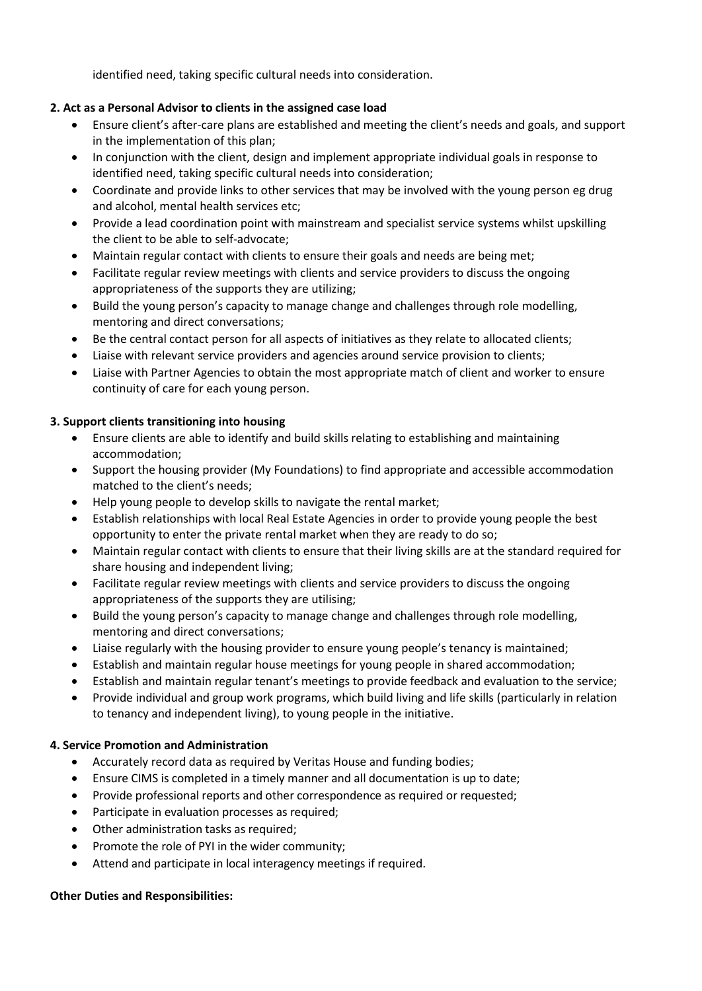identified need, taking specific cultural needs into consideration.

## **2. Act as a Personal Advisor to clients in the assigned case load**

- Ensure client's after-care plans are established and meeting the client's needs and goals, and support in the implementation of this plan;
- In conjunction with the client, design and implement appropriate individual goals in response to identified need, taking specific cultural needs into consideration;
- Coordinate and provide links to other services that may be involved with the young person eg drug and alcohol, mental health services etc;
- Provide a lead coordination point with mainstream and specialist service systems whilst upskilling the client to be able to self-advocate;
- Maintain regular contact with clients to ensure their goals and needs are being met;
- Facilitate regular review meetings with clients and service providers to discuss the ongoing appropriateness of the supports they are utilizing;
- Build the young person's capacity to manage change and challenges through role modelling, mentoring and direct conversations;
- Be the central contact person for all aspects of initiatives as they relate to allocated clients;
- Liaise with relevant service providers and agencies around service provision to clients;
- Liaise with Partner Agencies to obtain the most appropriate match of client and worker to ensure continuity of care for each young person.

## **3. Support clients transitioning into housing**

- Ensure clients are able to identify and build skills relating to establishing and maintaining accommodation;
- Support the housing provider (My Foundations) to find appropriate and accessible accommodation matched to the client's needs;
- Help young people to develop skills to navigate the rental market;
- Establish relationships with local Real Estate Agencies in order to provide young people the best opportunity to enter the private rental market when they are ready to do so;
- Maintain regular contact with clients to ensure that their living skills are at the standard required for share housing and independent living;
- Facilitate regular review meetings with clients and service providers to discuss the ongoing appropriateness of the supports they are utilising;
- Build the young person's capacity to manage change and challenges through role modelling, mentoring and direct conversations;
- Liaise regularly with the housing provider to ensure young people's tenancy is maintained;
- Establish and maintain regular house meetings for young people in shared accommodation;
- Establish and maintain regular tenant's meetings to provide feedback and evaluation to the service;
- Provide individual and group work programs, which build living and life skills (particularly in relation to tenancy and independent living), to young people in the initiative.

## **4. Service Promotion and Administration**

- Accurately record data as required by Veritas House and funding bodies;
- Ensure CIMS is completed in a timely manner and all documentation is up to date;
- Provide professional reports and other correspondence as required or requested;
- Participate in evaluation processes as required;
- Other administration tasks as required;
- Promote the role of PYI in the wider community;
- Attend and participate in local interagency meetings if required.

## **Other Duties and Responsibilities:**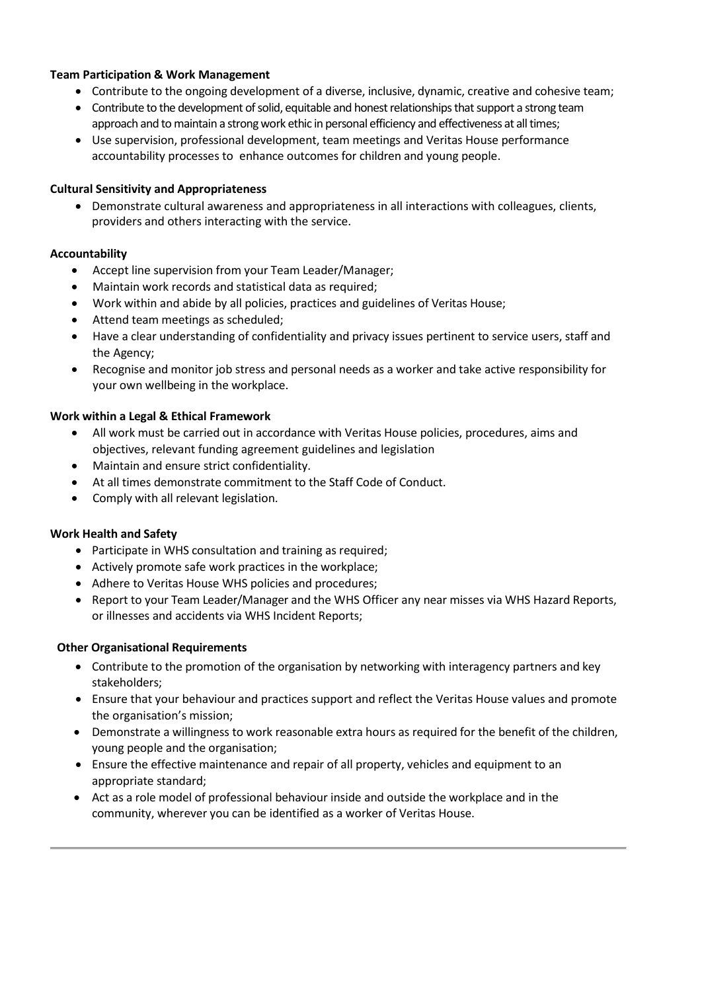## **Team Participation & Work Management**

- Contribute to the ongoing development of a diverse, inclusive, dynamic, creative and cohesive team;
- Contribute to the development of solid, equitable and honest relationships that support a strong team approach and to maintain a strong work ethic in personal efficiency and effectiveness at all times;
- Use supervision, professional development, team meetings and Veritas House performance accountability processes to enhance outcomes for children and young people.

#### **Cultural Sensitivity and Appropriateness**

• Demonstrate cultural awareness and appropriateness in all interactions with colleagues, clients, providers and others interacting with the service.

#### **Accountability**

- Accept line supervision from your Team Leader/Manager;
- Maintain work records and statistical data as required;
- Work within and abide by all policies, practices and guidelines of Veritas House;
- Attend team meetings as scheduled;
- Have a clear understanding of confidentiality and privacy issues pertinent to service users, staff and the Agency;
- Recognise and monitor job stress and personal needs as a worker and take active responsibility for your own wellbeing in the workplace.

#### **Work within a Legal & Ethical Framework**

- All work must be carried out in accordance with Veritas House policies, procedures, aims and objectives, relevant funding agreement guidelines and legislation
- Maintain and ensure strict confidentiality.
- At all times demonstrate commitment to the Staff Code of Conduct.
- Comply with all relevant legislation.

#### **Work Health and Safety**

- Participate in WHS consultation and training as required;
- Actively promote safe work practices in the workplace;
- Adhere to Veritas House WHS policies and procedures;
- Report to your Team Leader/Manager and the WHS Officer any near misses via WHS Hazard Reports, or illnesses and accidents via WHS Incident Reports;

#### **Other Organisational Requirements**

- Contribute to the promotion of the organisation by networking with interagency partners and key stakeholders;
- Ensure that your behaviour and practices support and reflect the Veritas House values and promote the organisation's mission;
- Demonstrate a willingness to work reasonable extra hours as required for the benefit of the children, young people and the organisation;
- Ensure the effective maintenance and repair of all property, vehicles and equipment to an appropriate standar[d;](http://www.docudesk.com/deskpdf/pdf-studio/buy-studio-x-now)
- Act as a role model of professional behaviour inside and outside the workplace and in the community, wherever you can be identified as a worker of Veritas House.